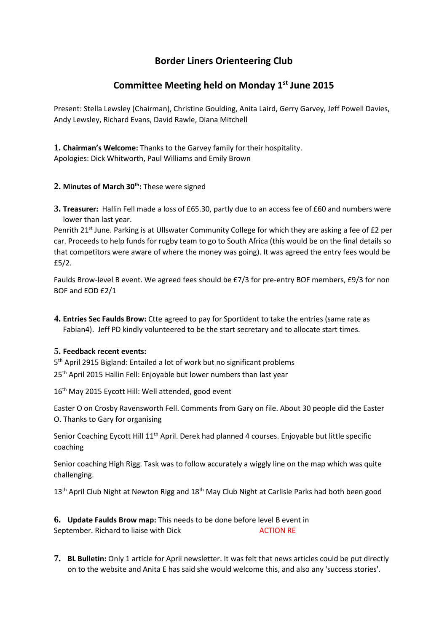# **Border Liners Orienteering Club**

# **Committee Meeting held on Monday 1st June 2015**

Present: Stella Lewsley (Chairman), Christine Goulding, Anita Laird, Gerry Garvey, Jeff Powell Davies, Andy Lewsley, Richard Evans, David Rawle, Diana Mitchell

**1. Chairman's Welcome:** Thanks to the Garvey family for their hospitality. Apologies: Dick Whitworth, Paul Williams and Emily Brown

## **2. Minutes of March 30th:** These were signed

**3. Treasurer:** Hallin Fell made a loss of £65.30, partly due to an access fee of £60 and numbers were lower than last year.

Penrith 21<sup>st</sup> June. Parking is at Ullswater Community College for which they are asking a fee of £2 per car. Proceeds to help funds for rugby team to go to South Africa (this would be on the final details so that competitors were aware of where the money was going). It was agreed the entry fees would be £5/2.

Faulds Brow-level B event. We agreed fees should be £7/3 for pre-entry BOF members, £9/3 for non BOF and EOD £2/1

**4. Entries Sec Faulds Brow:** Ctte agreed to pay for Sportident to take the entries (same rate as Fabian4). Jeff PD kindly volunteered to be the start secretary and to allocate start times.

### **5. Feedback recent events:**

5<sup>th</sup> April 2915 Bigland: Entailed a lot of work but no significant problems 25<sup>th</sup> April 2015 Hallin Fell: Enjoyable but lower numbers than last year

16<sup>th</sup> May 2015 Eycott Hill: Well attended, good event

Easter O on Crosby Ravensworth Fell. Comments from Gary on file. About 30 people did the Easter O. Thanks to Gary for organising

Senior Coaching Eycott Hill 11<sup>th</sup> April. Derek had planned 4 courses. Enjoyable but little specific coaching

Senior coaching High Rigg. Task was to follow accurately a wiggly line on the map which was quite challenging.

13<sup>th</sup> April Club Night at Newton Rigg and 18<sup>th</sup> May Club Night at Carlisle Parks had both been good

**6. Update Faulds Brow map:** This needs to be done before level B event in September. Richard to liaise with Dick ACTION RE

**7. BL Bulletin:** Only 1 article for April newsletter. It was felt that news articles could be put directly on to the website and Anita E has said she would welcome this, and also any 'success stories'.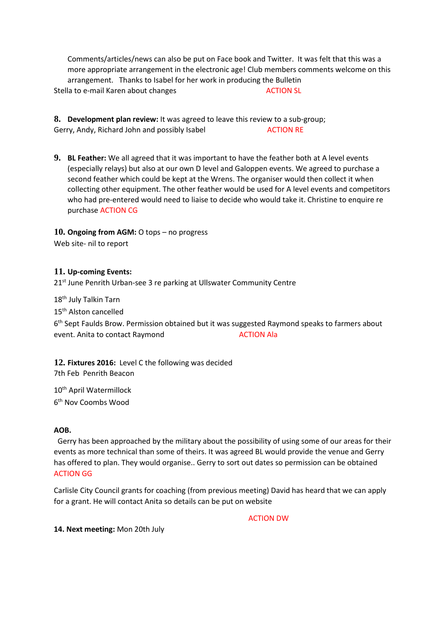Comments/articles/news can also be put on Face book and Twitter. It was felt that this was a more appropriate arrangement in the electronic age! Club members comments welcome on this arrangement. Thanks to Isabel for her work in producing the Bulletin Stella to e-mail Karen about changes ACTION SL

**8. Development plan review:** It was agreed to leave this review to a sub-group; Gerry, Andy, Richard John and possibly Isabel ACTION RE

**9. BL Feather:** We all agreed that it was important to have the feather both at A level events (especially relays) but also at our own D level and Galoppen events. We agreed to purchase a second feather which could be kept at the Wrens. The organiser would then collect it when collecting other equipment. The other feather would be used for A level events and competitors who had pre-entered would need to liaise to decide who would take it. Christine to enquire re purchase ACTION CG

### **10. Ongoing from AGM:** O tops – no progress

Web site- nil to report

### **11. Up-coming Events:**

21<sup>st</sup> June Penrith Urban-see 3 re parking at Ullswater Community Centre

18<sup>th</sup> July Talkin Tarn

15<sup>th</sup> Alston cancelled

6<sup>th</sup> Sept Faulds Brow. Permission obtained but it was suggested Raymond speaks to farmers about event. Anita to contact Raymond ACTION Ala

**12. Fixtures 2016:** Level C the following was decided 7th Feb Penrith Beacon

10<sup>th</sup> April Watermillock 6 th Nov Coombs Wood

### **AOB.**

Gerry has been approached by the military about the possibility of using some of our areas for their events as more technical than some of theirs. It was agreed BL would provide the venue and Gerry has offered to plan. They would organise.. Gerry to sort out dates so permission can be obtained ACTION GG

Carlisle City Council grants for coaching (from previous meeting) David has heard that we can apply for a grant. He will contact Anita so details can be put on website

ACTION DW

**14. Next meeting:** Mon 20th July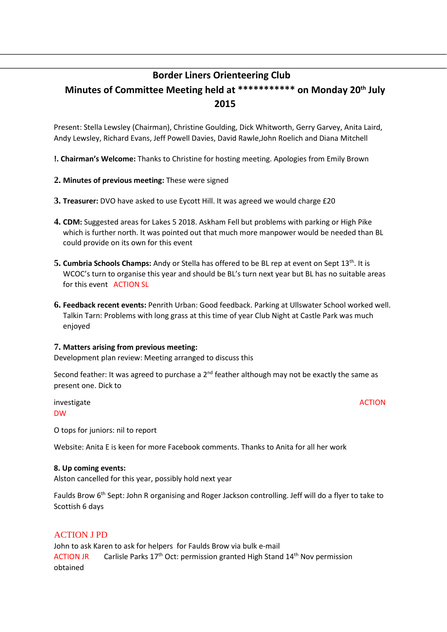# **Border Liners Orienteering Club**

# **Minutes of Committee Meeting held at \*\*\*\*\*\*\*\*\*\*\* on Monday 20th July 2015**

Present: Stella Lewsley (Chairman), Christine Goulding, Dick Whitworth, Gerry Garvey, Anita Laird, Andy Lewsley, Richard Evans, Jeff Powell Davies, David Rawle,John Roelich and Diana Mitchell

**!. Chairman's Welcome:** Thanks to Christine for hosting meeting. Apologies from Emily Brown

### **2. Minutes of previous meeting:** These were signed

- **3. Treasurer:** DVO have asked to use Eycott Hill. It was agreed we would charge £20
- **4. CDM:** Suggested areas for Lakes 5 2018. Askham Fell but problems with parking or High Pike which is further north. It was pointed out that much more manpower would be needed than BL could provide on its own for this event
- 5. Cumbria Schools Champs: Andy or Stella has offered to be BL rep at event on Sept 13<sup>th</sup>. It is WCOC's turn to organise this year and should be BL's turn next year but BL has no suitable areas for this event ACTION SL
- **6. Feedback recent events:** Penrith Urban: Good feedback. Parking at Ullswater School worked well. Talkin Tarn: Problems with long grass at this time of year Club Night at Castle Park was much enjoyed

### **7. Matters arising from previous meeting:**

Development plan review: Meeting arranged to discuss this

Second feather: It was agreed to purchase a  $2^{nd}$  feather although may not be exactly the same as present one. Dick to

investigate ACTION ACTION DW

O tops for juniors: nil to report

Website: Anita E is keen for more Facebook comments. Thanks to Anita for all her work

### **8. Up coming events:**

Alston cancelled for this year, possibly hold next year

Faulds Brow 6<sup>th</sup> Sept: John R organising and Roger Jackson controlling. Jeff will do a flyer to take to Scottish 6 days

### ACTION J PD

John to ask Karen to ask for helpers for Faulds Brow via bulk e-mail ACTION JR Carlisle Parks  $17<sup>th</sup>$  Oct: permission granted High Stand  $14<sup>th</sup>$  Nov permission obtained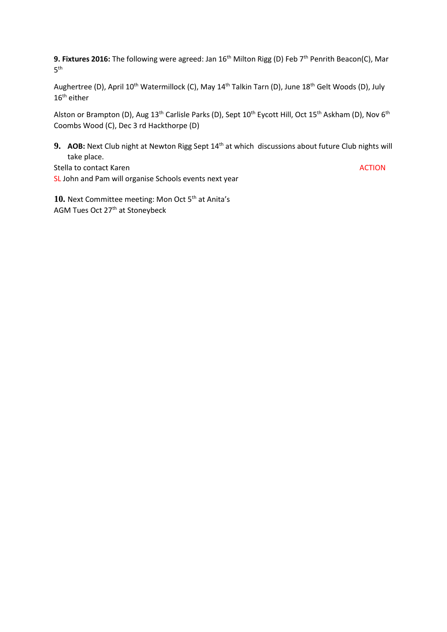9. Fixtures 2016: The following were agreed: Jan 16<sup>th</sup> Milton Rigg (D) Feb 7<sup>th</sup> Penrith Beacon(C), Mar  $5^{\text{th}}$ 

Aughertree (D), April 10<sup>th</sup> Watermillock (C), May 14<sup>th</sup> Talkin Tarn (D), June 18<sup>th</sup> Gelt Woods (D), July  $16<sup>th</sup>$  either

Alston or Brampton (D), Aug 13<sup>th</sup> Carlisle Parks (D), Sept 10<sup>th</sup> Eycott Hill, Oct 15<sup>th</sup> Askham (D), Nov 6<sup>th</sup> Coombs Wood (C), Dec 3 rd Hackthorpe (D)

**9. AOB:** Next Club night at Newton Rigg Sept 14th at which discussions about future Club nights will take place.

Stella to contact Karen ACTION ACTION SL John and Pam will organise Schools events next year

10. Next Committee meeting: Mon Oct 5<sup>th</sup> at Anita's AGM Tues Oct 27th at Stoneybeck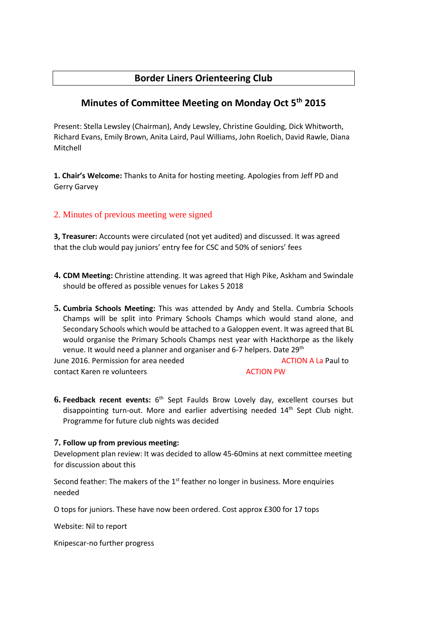# **Border Liners Orienteering Club**

# **Minutes of Committee Meeting on Monday Oct 5th 2015**

Present: Stella Lewsley (Chairman), Andy Lewsley, Christine Goulding, Dick Whitworth, Richard Evans, Emily Brown, Anita Laird, Paul Williams, John Roelich, David Rawle, Diana Mitchell

**1. Chair's Welcome:** Thanks to Anita for hosting meeting. Apologies from Jeff PD and Gerry Garvey

## 2. Minutes of previous meeting were signed

**3, Treasurer:** Accounts were circulated (not yet audited) and discussed. It was agreed that the club would pay juniors' entry fee for CSC and 50% of seniors' fees

- **4. CDM Meeting:** Christine attending. It was agreed that High Pike, Askham and Swindale should be offered as possible venues for Lakes 5 2018
- **5. Cumbria Schools Meeting:** This was attended by Andy and Stella. Cumbria Schools Champs will be split into Primary Schools Champs which would stand alone, and Secondary Schools which would be attached to a Galoppen event. It was agreed that BL would organise the Primary Schools Champs nest year with Hackthorpe as the likely venue. It would need a planner and organiser and 6-7 helpers. Date 29<sup>th</sup> June 2016. Permission for area needed ACTION A La Paul to

contact Karen re volunteers and a contact Karen revolunteers

**6. Feedback recent events:** 6<sup>th</sup> Sept Faulds Brow Lovely day, excellent courses but disappointing turn-out. More and earlier advertising needed  $14<sup>th</sup>$  Sept Club night. Programme for future club nights was decided

### **7. Follow up from previous meeting:**

Development plan review: It was decided to allow 45-60mins at next committee meeting for discussion about this

Second feather: The makers of the  $1<sup>st</sup>$  feather no longer in business. More enquiries needed

O tops for juniors. These have now been ordered. Cost approx £300 for 17 tops

Website: Nil to report

Knipescar-no further progress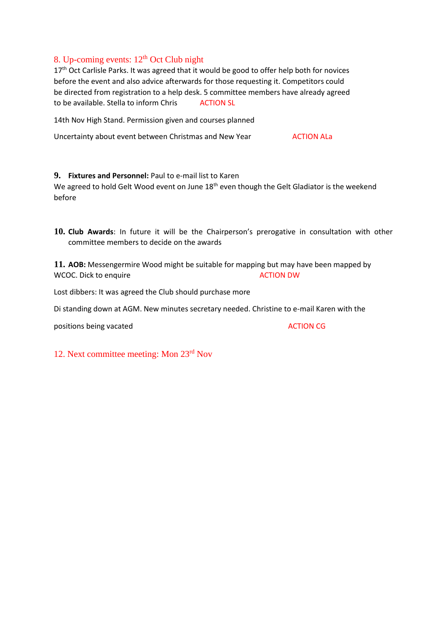## 8. Up-coming events:  $12<sup>th</sup>$  Oct Club night

17<sup>th</sup> Oct Carlisle Parks. It was agreed that it would be good to offer help both for novices before the event and also advice afterwards for those requesting it. Competitors could be directed from registration to a help desk. 5 committee members have already agreed to be available. Stella to inform Chris ACTION SL

14th Nov High Stand. Permission given and courses planned

Uncertainty about event between Christmas and New Year **ACTION ALA** 

### **9. Fixtures and Personnel:** Paul to e-mail list to Karen

We agreed to hold Gelt Wood event on June 18<sup>th</sup> even though the Gelt Gladiator is the weekend before

**10. Club Awards**: In future it will be the Chairperson's prerogative in consultation with other committee members to decide on the awards

**11. AOB:** Messengermire Wood might be suitable for mapping but may have been mapped by WCOC. Dick to enquire and the ACTION DW ACTION DW

Lost dibbers: It was agreed the Club should purchase more

Di standing down at AGM. New minutes secretary needed. Christine to e-mail Karen with the

positions being vacated and a set of the set of the ACTION CG

12. Next committee meeting: Mon 23rd Nov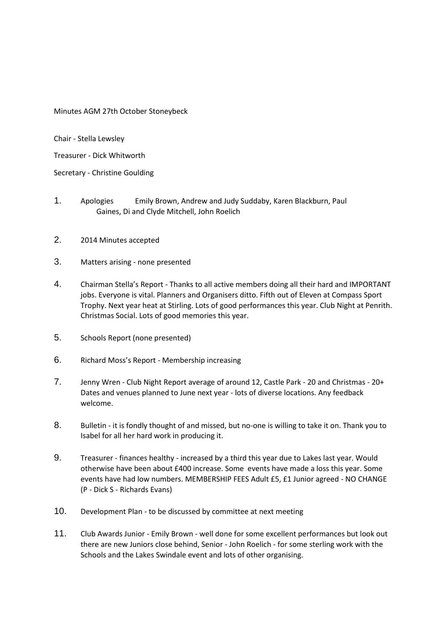Minutes AGM 27th October Stoneybeck

Chair - Stella Lewsley

Treasurer - Dick Whitworth

Secretary - Christine Goulding

- 1. Apologies Emily Brown, Andrew and Judy Suddaby, Karen Blackburn, Paul Gaines, Di and Clyde Mitchell, John Roelich
- 2. 2014 Minutes accepted
- 3. Matters arising none presented
- 4. Chairman Stella's Report Thanks to all active members doing all their hard and IMPORTANT jobs. Everyone is vital. Planners and Organisers ditto. Fifth out of Eleven at Compass Sport Trophy. Next year heat at Stirling. Lots of good performances this year. Club Night at Penrith. Christmas Social. Lots of good memories this year.
- 5. Schools Report (none presented)
- 6. Richard Moss's Report Membership increasing
- 7. Jenny Wren Club Night Report average of around 12, Castle Park 20 and Christmas 20+ Dates and venues planned to June next year - lots of diverse locations. Any feedback welcome.
- 8. Bulletin it is fondly thought of and missed, but no-one is willing to take it on. Thank you to Isabel for all her hard work in producing it.
- 9. Treasurer finances healthy increased by a third this year due to Lakes last year. Would otherwise have been about £400 increase. Some events have made a loss this year. Some events have had low numbers. MEMBERSHIP FEES Adult £5, £1 Junior agreed - NO CHANGE (P - Dick S - Richards Evans)
- 10. Development Plan to be discussed by committee at next meeting
- 11. Club Awards Junior Emily Brown well done for some excellent performances but look out there are new Juniors close behind, Senior - John Roelich - for some sterling work with the Schools and the Lakes Swindale event and lots of other organising.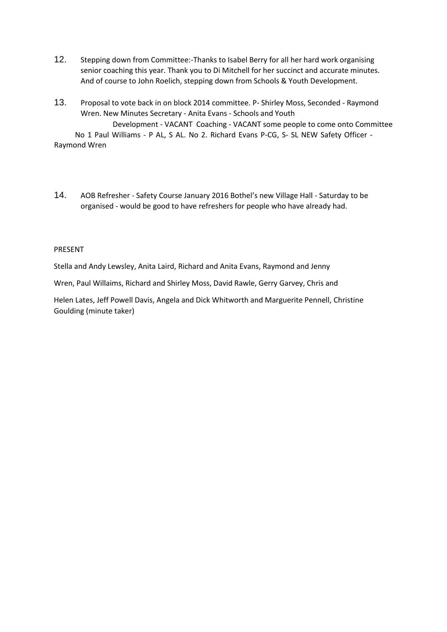- 12. Stepping down from Committee:-Thanks to Isabel Berry for all her hard work organising senior coaching this year. Thank you to Di Mitchell for her succinct and accurate minutes. And of course to John Roelich, stepping down from Schools & Youth Development.
- 13. Proposal to vote back in on block 2014 committee. P- Shirley Moss, Seconded Raymond Wren. New Minutes Secretary - Anita Evans - Schools and Youth

Development - VACANT Coaching - VACANT some people to come onto Committee No 1 Paul Williams - P AL, S AL. No 2. Richard Evans P-CG, S- SL NEW Safety Officer - Raymond Wren

14. AOB Refresher - Safety Course January 2016 Bothel's new Village Hall - Saturday to be organised - would be good to have refreshers for people who have already had.

#### PRESENT

Stella and Andy Lewsley, Anita Laird, Richard and Anita Evans, Raymond and Jenny

Wren, Paul Willaims, Richard and Shirley Moss, David Rawle, Gerry Garvey, Chris and

Helen Lates, Jeff Powell Davis, Angela and Dick Whitworth and Marguerite Pennell, Christine Goulding (minute taker)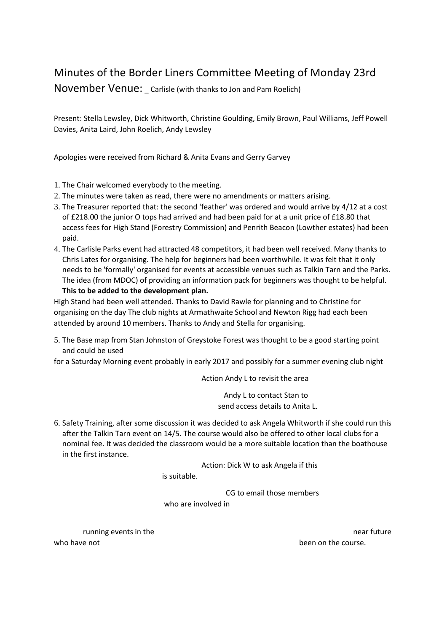# Minutes of the Border Liners Committee Meeting of Monday 23rd

November Venue: Carlisle (with thanks to Jon and Pam Roelich)

Present: Stella Lewsley, Dick Whitworth, Christine Goulding, Emily Brown, Paul Williams, Jeff Powell Davies, Anita Laird, John Roelich, Andy Lewsley

Apologies were received from Richard & Anita Evans and Gerry Garvey

- 1. The Chair welcomed everybody to the meeting.
- 2. The minutes were taken as read, there were no amendments or matters arising.
- 3. The Treasurer reported that: the second 'feather' was ordered and would arrive by 4/12 at a cost of £218.00 the junior O tops had arrived and had been paid for at a unit price of £18.80 that access fees for High Stand (Forestry Commission) and Penrith Beacon (Lowther estates) had been paid.
- 4. The Carlisle Parks event had attracted 48 competitors, it had been well received. Many thanks to Chris Lates for organising. The help for beginners had been worthwhile. It was felt that it only needs to be 'formally' organised for events at accessible venues such as Talkin Tarn and the Parks. The idea (from MDOC) of providing an information pack for beginners was thought to be helpful. **This to be added to the development plan.**

High Stand had been well attended. Thanks to David Rawle for planning and to Christine for organising on the day The club nights at Armathwaite School and Newton Rigg had each been attended by around 10 members. Thanks to Andy and Stella for organising.

5. The Base map from Stan Johnston of Greystoke Forest was thought to be a good starting point and could be used

for a Saturday Morning event probably in early 2017 and possibly for a summer evening club night

Action Andy L to revisit the area

 Andy L to contact Stan to send access details to Anita L.

6. Safety Training, after some discussion it was decided to ask Angela Whitworth if she could run this after the Talkin Tarn event on 14/5. The course would also be offered to other local clubs for a nominal fee. It was decided the classroom would be a more suitable location than the boathouse in the first instance.

Action: Dick W to ask Angela if this

is suitable.

CG to email those members

who are involved in

who have not **been** on the course.

running events in the near future near future